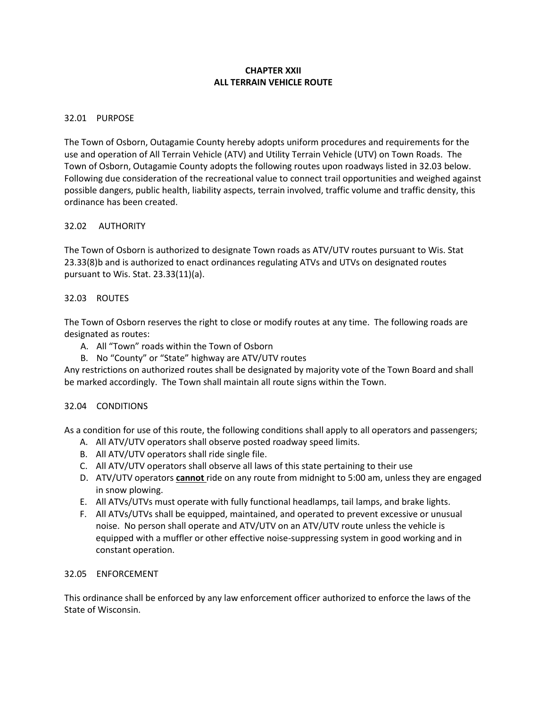# **CHAPTER XXII ALL TERRAIN VEHICLE ROUTE**

## 32.01 PURPOSE

The Town of Osborn, Outagamie County hereby adopts uniform procedures and requirements for the use and operation of All Terrain Vehicle (ATV) and Utility Terrain Vehicle (UTV) on Town Roads. The Town of Osborn, Outagamie County adopts the following routes upon roadways listed in 32.03 below. Following due consideration of the recreational value to connect trail opportunities and weighed against possible dangers, public health, liability aspects, terrain involved, traffic volume and traffic density, this ordinance has been created.

### 32.02 AUTHORITY

The Town of Osborn is authorized to designate Town roads as ATV/UTV routes pursuant to Wis. Stat 23.33(8)b and is authorized to enact ordinances regulating ATVs and UTVs on designated routes pursuant to Wis. Stat. 23.33(11)(a).

### 32.03 ROUTES

The Town of Osborn reserves the right to close or modify routes at any time. The following roads are designated as routes:

- A. All "Town" roads within the Town of Osborn
- B. No "County" or "State" highway are ATV/UTV routes

Any restrictions on authorized routes shall be designated by majority vote of the Town Board and shall be marked accordingly. The Town shall maintain all route signs within the Town.

## 32.04 CONDITIONS

As a condition for use of this route, the following conditions shall apply to all operators and passengers;

- A. All ATV/UTV operators shall observe posted roadway speed limits.
- B. All ATV/UTV operators shall ride single file.
- C. All ATV/UTV operators shall observe all laws of this state pertaining to their use
- D. ATV/UTV operators **cannot** ride on any route from midnight to 5:00 am, unless they are engaged in snow plowing.
- E. All ATVs/UTVs must operate with fully functional headlamps, tail lamps, and brake lights.
- F. All ATVs/UTVs shall be equipped, maintained, and operated to prevent excessive or unusual noise. No person shall operate and ATV/UTV on an ATV/UTV route unless the vehicle is equipped with a muffler or other effective noise-suppressing system in good working and in constant operation.

# 32.05 ENFORCEMENT

This ordinance shall be enforced by any law enforcement officer authorized to enforce the laws of the State of Wisconsin.